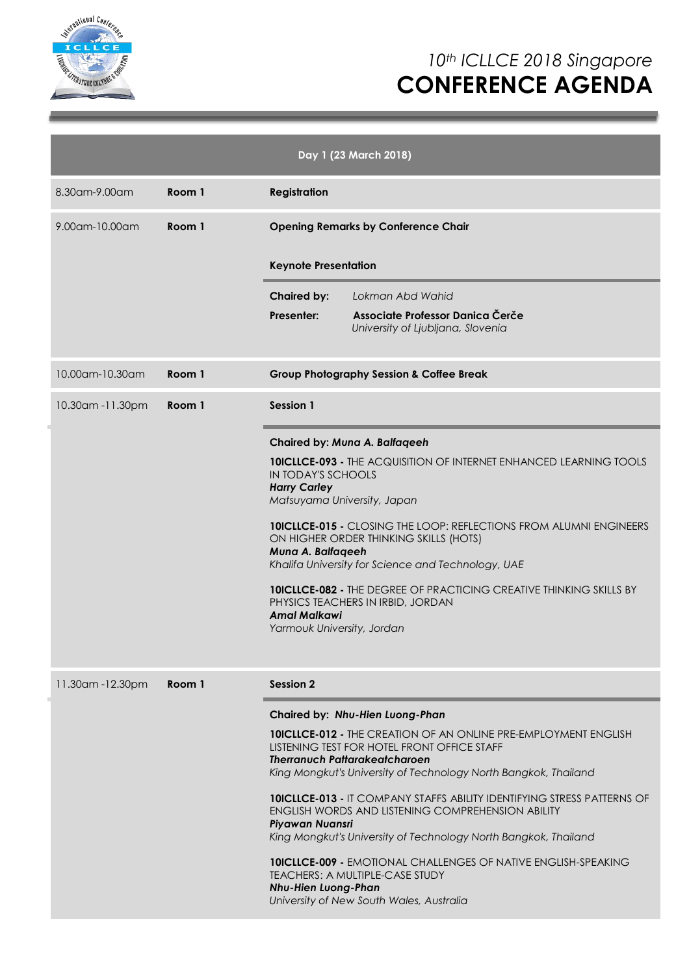

|                   |        | Day 1 (23 March 2018)                                                                                                                                                                                                                                                                                                                                                                                                                                                                                                                                                                                                                                                                                             |  |  |  |
|-------------------|--------|-------------------------------------------------------------------------------------------------------------------------------------------------------------------------------------------------------------------------------------------------------------------------------------------------------------------------------------------------------------------------------------------------------------------------------------------------------------------------------------------------------------------------------------------------------------------------------------------------------------------------------------------------------------------------------------------------------------------|--|--|--|
| 8.30am-9.00am     | Room 1 | <b>Registration</b>                                                                                                                                                                                                                                                                                                                                                                                                                                                                                                                                                                                                                                                                                               |  |  |  |
| 9.00am-10.00am    | Room 1 | <b>Opening Remarks by Conference Chair</b><br><b>Keynote Presentation</b>                                                                                                                                                                                                                                                                                                                                                                                                                                                                                                                                                                                                                                         |  |  |  |
|                   |        | <b>Chaired by:</b><br>Lokman Abd Wahid<br>Associate Professor Danica Čerče<br>Presenter:<br>University of Ljubljana, Slovenia                                                                                                                                                                                                                                                                                                                                                                                                                                                                                                                                                                                     |  |  |  |
| 10.00am-10.30am   | Room 1 | <b>Group Photography Session &amp; Coffee Break</b>                                                                                                                                                                                                                                                                                                                                                                                                                                                                                                                                                                                                                                                               |  |  |  |
| 10.30am -11.30pm  | Room 1 | Session 1                                                                                                                                                                                                                                                                                                                                                                                                                                                                                                                                                                                                                                                                                                         |  |  |  |
|                   |        | Chaired by: Muna A. Balfaqeeh<br><b>10ICLLCE-093 - THE ACQUISITION OF INTERNET ENHANCED LEARNING TOOLS</b><br><b>IN TODAY'S SCHOOLS</b><br><b>Harry Carley</b><br>Matsuyama University, Japan<br><b>10ICLLCE-015 - CLOSING THE LOOP: REFLECTIONS FROM ALUMNI ENGINEERS</b><br>ON HIGHER ORDER THINKING SKILLS (HOTS)<br>Muna A. Balfageeh<br>Khalifa University for Science and Technology, UAE<br><b>10ICLLCE-082 - THE DEGREE OF PRACTICING CREATIVE THINKING SKILLS BY</b><br>PHYSICS TEACHERS IN IRBID, JORDAN<br><b>Amal Malkawi</b><br>Yarmouk University, Jordan                                                                                                                                           |  |  |  |
| 11.30am - 12.30pm | Room 1 | <b>Session 2</b><br>Chaired by: Nhu-Hien Luong-Phan<br><b>10ICLLCE-012 - THE CREATION OF AN ONLINE PRE-EMPLOYMENT ENGLISH</b><br>LISTENING TEST FOR HOTEL FRONT OFFICE STAFF<br><b>Therranuch Pattarakeatcharoen</b><br>King Mongkut's University of Technology North Bangkok, Thailand<br><b>10ICLLCE-013 - IT COMPANY STAFFS ABILITY IDENTIFYING STRESS PATTERNS OF</b><br>ENGLISH WORDS AND LISTENING COMPREHENSION ABILITY<br>Piyawan Nuansri<br>King Mongkut's University of Technology North Bangkok, Thailand<br><b>10ICLLCE-009 - EMOTIONAL CHALLENGES OF NATIVE ENGLISH-SPEAKING</b><br><b>TEACHERS: A MULTIPLE-CASE STUDY</b><br><b>Nhu-Hien Luong-Phan</b><br>University of New South Wales, Australia |  |  |  |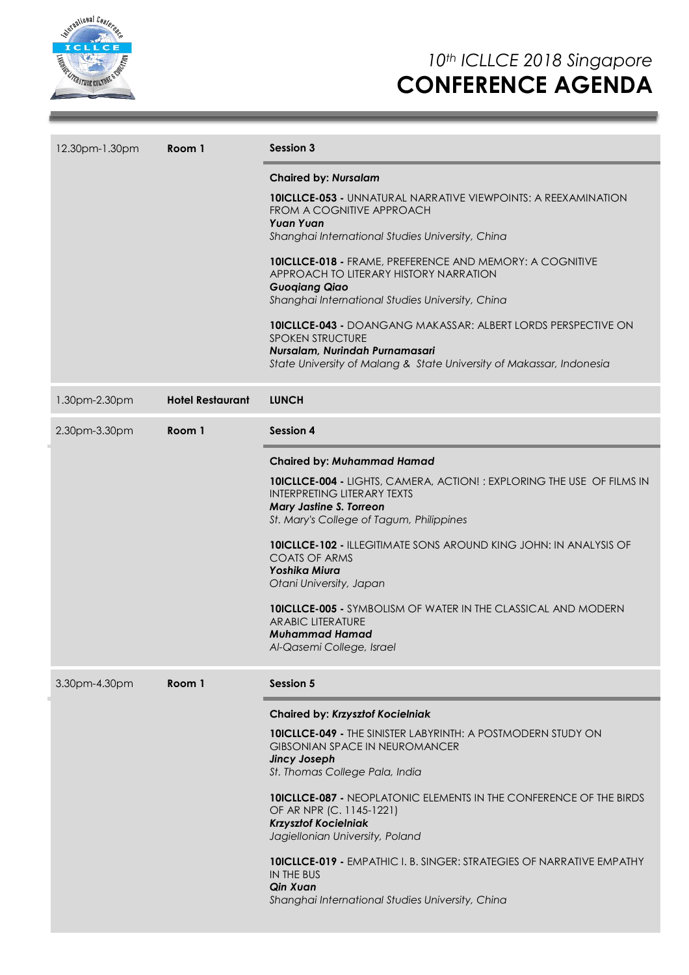

| 12.30pm-1.30pm | Room 1                  | <b>Session 3</b>                                                                                                                                                                                                                                                                                                                                                                                                                                                                                                                                                                                         |  |  |
|----------------|-------------------------|----------------------------------------------------------------------------------------------------------------------------------------------------------------------------------------------------------------------------------------------------------------------------------------------------------------------------------------------------------------------------------------------------------------------------------------------------------------------------------------------------------------------------------------------------------------------------------------------------------|--|--|
|                |                         | <b>Chaired by: Nursalam</b><br><b>10ICLLCE-053 - UNNATURAL NARRATIVE VIEWPOINTS: A REEXAMINATION</b><br>FROM A COGNITIVE APPROACH<br><b>Yuan Yuan</b><br>Shanghai International Studies University, China<br>10ICLLCE-018 - FRAME, PREFERENCE AND MEMORY: A COGNITIVE<br>APPROACH TO LITERARY HISTORY NARRATION<br><b>Guogiang Qiao</b><br>Shanghai International Studies University, China<br><b>10ICLLCE-043 -</b> DOANGANG MAKASSAR: ALBERT LORDS PERSPECTIVE ON<br><b>SPOKEN STRUCTURE</b><br>Nursalam, Nurindah Purnamasari<br>State University of Malang & State University of Makassar, Indonesia |  |  |
| 1.30pm-2.30pm  | <b>Hotel Restaurant</b> | <b>LUNCH</b>                                                                                                                                                                                                                                                                                                                                                                                                                                                                                                                                                                                             |  |  |
| 2.30pm-3.30pm  | Room 1                  | <b>Session 4</b>                                                                                                                                                                                                                                                                                                                                                                                                                                                                                                                                                                                         |  |  |
|                |                         | Chaired by: Muhammad Hamad<br><b>10ICLLCE-004 - LIGHTS, CAMERA, ACTION!: EXPLORING THE USE OF FILMS IN</b><br><b>INTERPRETING LITERARY TEXTS</b><br><b>Mary Jastine S. Torreon</b><br>St. Mary's College of Tagum, Philippines<br><b>10ICLLCE-102 - ILLEGITIMATE SONS AROUND KING JOHN: IN ANALYSIS OF</b><br><b>COATS OF ARMS</b><br>Yoshika Miura<br>Otani University, Japan<br><b>10ICLLCE-005 - SYMBOLISM OF WATER IN THE CLASSICAL AND MODERN</b><br><b>ARABIC LITERATURE</b><br><b>Muhammad Hamad</b><br>Al-Qasemi College, Israel                                                                 |  |  |
| 3.30pm-4.30pm  | Room 1                  | <b>Session 5</b><br><b>Chaired by: Krzysztof Kocielniak</b><br><b>10ICLLCE-049 - THE SINISTER LABYRINTH: A POSTMODERN STUDY ON</b><br><b>GIBSONIAN SPACE IN NEUROMANCER</b><br><b>Jincy Joseph</b><br>St. Thomas College Pala, India<br><b>10ICLLCE-087 - NEOPLATONIC ELEMENTS IN THE CONFERENCE OF THE BIRDS</b><br>OF AR NPR (C. 1145-1221)<br><b>Krzysztof Kocielniak</b><br>Jagiellonian University, Poland<br><b>10ICLLCE-019 - EMPATHIC I. B. SINGER: STRATEGIES OF NARRATIVE EMPATHY</b><br>IN THE BUS<br>Qin Xuan<br>Shanghai International Studies University, China                            |  |  |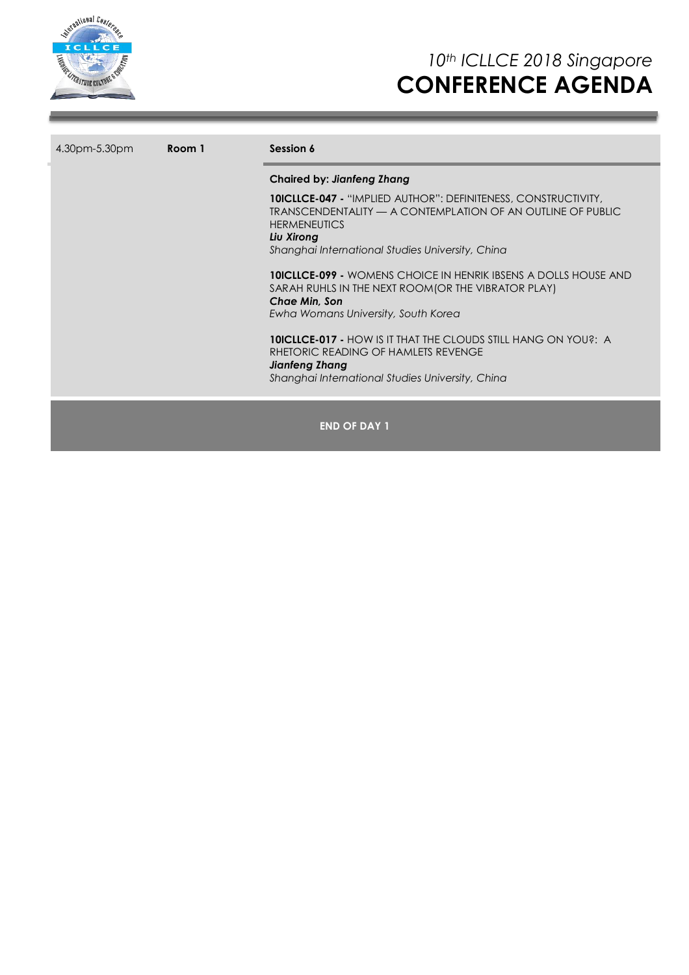

| 4.30pm-5.30pm<br>Room 1 |  | Session 6                                                                                                                                                                                                                     |  |  |
|-------------------------|--|-------------------------------------------------------------------------------------------------------------------------------------------------------------------------------------------------------------------------------|--|--|
|                         |  | <b>Chaired by: Jianfeng Zhang</b>                                                                                                                                                                                             |  |  |
|                         |  | <b>10ICLLCE-047 - "IMPLIED AUTHOR": DEFINITENESS, CONSTRUCTIVITY,</b><br>TRANSCENDENTALITY — A CONTEMPLATION OF AN OUTLINE OF PUBLIC<br><b>HERMENEUTICS</b><br>Liu Xirong<br>Shanghai International Studies University, China |  |  |
|                         |  | <b>10ICLLCE-099 - WOMENS CHOICE IN HENRIK IBSENS A DOLLS HOUSE AND</b><br>SARAH RUHLS IN THE NEXT ROOM(OR THE VIBRATOR PLAY)<br><b>Chae Min. Son</b><br>Ewha Womans University, South Korea                                   |  |  |
|                         |  | <b>10ICLLCE-017 - HOW IS IT THAT THE CLOUDS STILL HANG ON YOU?: A</b><br>RHETORIC READING OF HAMLETS REVENGE<br>Jianfeng Zhang<br>Shanghai International Studies University, China                                            |  |  |
|                         |  | <b>END OF DAY 1</b>                                                                                                                                                                                                           |  |  |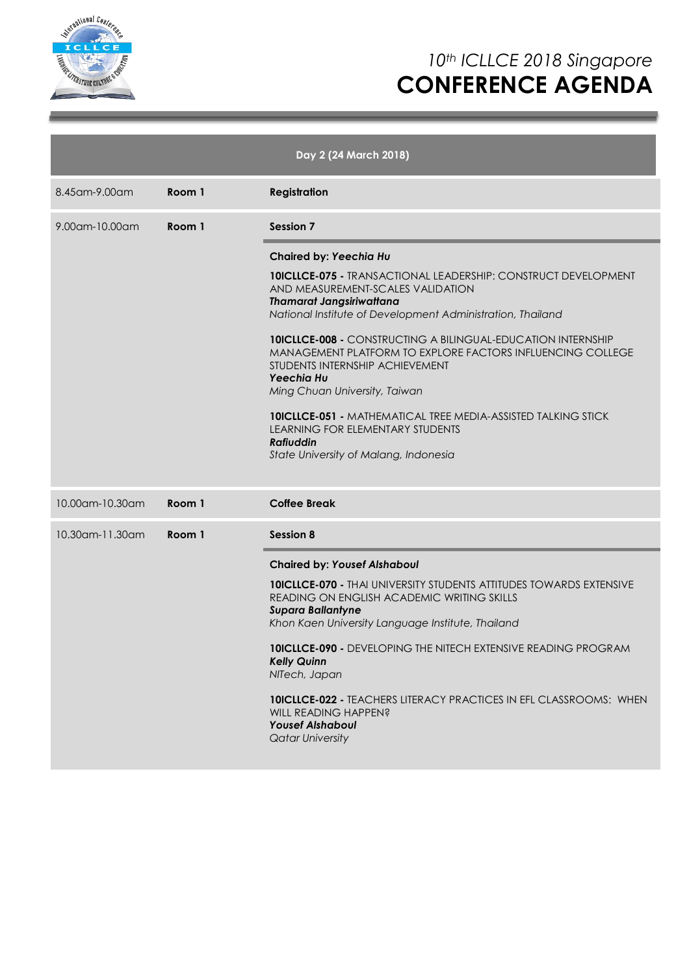

| Day 2 (24 March 2018) |        |                                                                                                                                                                                                                                                                                                                                                                                                                                                                                                                                                                                                                                       |  |  |
|-----------------------|--------|---------------------------------------------------------------------------------------------------------------------------------------------------------------------------------------------------------------------------------------------------------------------------------------------------------------------------------------------------------------------------------------------------------------------------------------------------------------------------------------------------------------------------------------------------------------------------------------------------------------------------------------|--|--|
| 8.45 am - 9.00 am     | Room 1 | <b>Registration</b>                                                                                                                                                                                                                                                                                                                                                                                                                                                                                                                                                                                                                   |  |  |
| 9.00am-10.00am        | Room 1 | <b>Session 7</b>                                                                                                                                                                                                                                                                                                                                                                                                                                                                                                                                                                                                                      |  |  |
|                       |        | Chaired by: Yeechia Hu<br><b>10ICLLCE-075 - TRANSACTIONAL LEADERSHIP: CONSTRUCT DEVELOPMENT</b><br>AND MEASUREMENT-SCALES VALIDATION<br><b>Thamarat Jangsiriwattana</b><br>National Institute of Development Administration, Thailand<br><b>10ICLLCE-008 - CONSTRUCTING A BILINGUAL-EDUCATION INTERNSHIP</b><br>MANAGEMENT PLATFORM TO EXPLORE FACTORS INFLUENCING COLLEGE<br>STUDENTS INTERNSHIP ACHIEVEMENT<br>Yeechia Hu<br>Ming Chuan University, Taiwan<br><b>10ICLLCE-051 - MATHEMATICAL TREE MEDIA-ASSISTED TALKING STICK</b><br>LEARNING FOR ELEMENTARY STUDENTS<br><b>Rafiuddin</b><br>State University of Malang, Indonesia |  |  |
| 10.00am-10.30am       | Room 1 | <b>Coffee Break</b>                                                                                                                                                                                                                                                                                                                                                                                                                                                                                                                                                                                                                   |  |  |
| 10.30am-11.30am       | Room 1 | <b>Session 8</b>                                                                                                                                                                                                                                                                                                                                                                                                                                                                                                                                                                                                                      |  |  |
|                       |        | <b>Chaired by: Yousef Alshaboul</b><br><b>10ICLLCE-070 - THALUNIVERSITY STUDENTS ATTITUDES TOWARDS EXTENSIVE</b><br>READING ON ENGLISH ACADEMIC WRITING SKILLS<br><b>Supara Ballantyne</b><br>Khon Kaen University Language Institute, Thailand<br><b>10ICLLCE-090 -</b> DEVELOPING THE NITECH EXTENSIVE READING PROGRAM<br><b>Kelly Quinn</b><br>NITech, Japan<br><b>10ICLLCE-022 - TEACHERS LITERACY PRACTICES IN EFL CLASSROOMS: WHEN</b><br>WILL READING HAPPEN?<br><b>Yousef Alshaboul</b><br><b>Qatar University</b>                                                                                                            |  |  |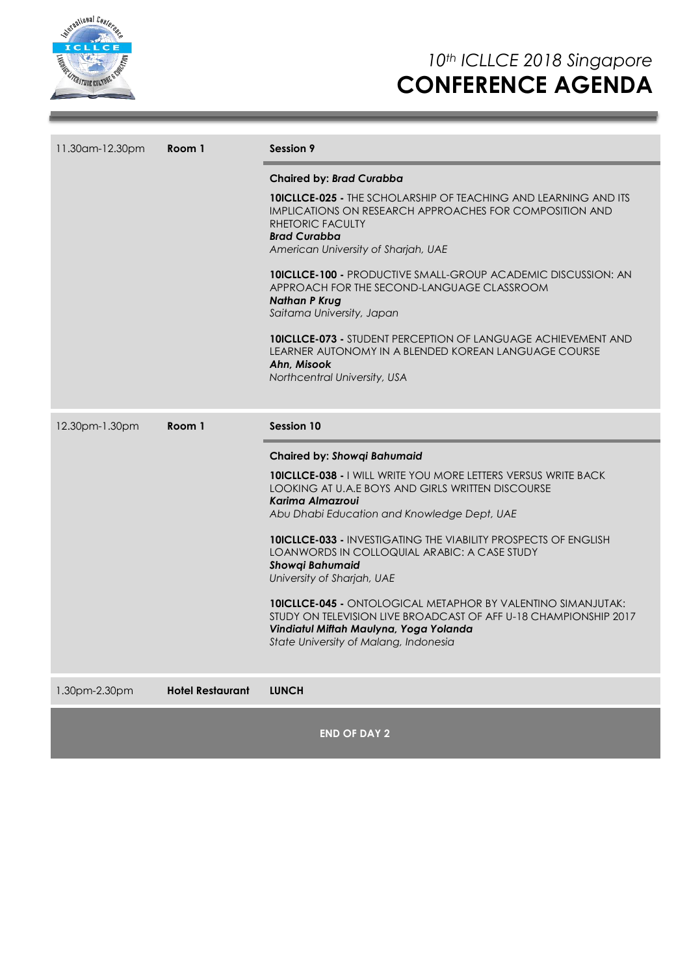

| 11.30 am - 12.30 pm | Room 1 | Session 9                                                                                                                                                                                                                  |  |  |
|---------------------|--------|----------------------------------------------------------------------------------------------------------------------------------------------------------------------------------------------------------------------------|--|--|
|                     |        | <b>Chaired by: Brad Curabba</b>                                                                                                                                                                                            |  |  |
|                     |        | <b>10ICLLCE-025 - THE SCHOLARSHIP OF TEACHING AND LEARNING AND ITS</b><br>IMPLICATIONS ON RESEARCH APPROACHES FOR COMPOSITION AND<br>RHETORIC FACULTY<br><b>Brad Curabba</b><br>American University of Sharjah, UAE        |  |  |
|                     |        | <b>10ICLLCE-100 - PRODUCTIVE SMALL-GROUP ACADEMIC DISCUSSION: AN</b><br>APPROACH FOR THE SECOND-LANGUAGE CLASSROOM<br><b>Nathan P Krug</b><br>Saitama University, Japan                                                    |  |  |
|                     |        | <b>10ICLLCE-073 - STUDENT PERCEPTION OF LANGUAGE ACHIEVEMENT AND</b><br>LEARNER AUTONOMY IN A BLENDED KOREAN LANGUAGE COURSE<br>Ahn. Misook<br>Northcentral University, USA                                                |  |  |
| 12.30pm-1.30pm      |        |                                                                                                                                                                                                                            |  |  |
|                     | Room 1 | <b>Session 10</b>                                                                                                                                                                                                          |  |  |
|                     |        | <b>Chaired by: Showgi Bahumaid</b>                                                                                                                                                                                         |  |  |
|                     |        | <b>10ICLLCE-038 - I WILL WRITE YOU MORE LETTERS VERSUS WRITE BACK</b><br>LOOKING AT U.A.E BOYS AND GIRLS WRITTEN DISCOURSE<br>Karima Almazroui<br>Abu Dhabi Education and Knowledge Dept, UAE                              |  |  |
|                     |        | <b>10ICLLCE-033 - INVESTIGATING THE VIABILITY PROSPECTS OF ENGLISH</b><br>LOANWORDS IN COLLOQUIAL ARABIC: A CASE STUDY<br><b>Showqi Bahumaid</b><br>University of Sharjah, UAE                                             |  |  |
|                     |        | <b>10ICLLCE-045 - ONTOLOGICAL METAPHOR BY VALENTINO SIMANJUTAK:</b><br>STUDY ON TELEVISION LIVE BROADCAST OF AFF U-18 CHAMPIONSHIP 2017<br>Vindiatul Miftah Maulyna, Yoga Yolanda<br>State University of Malang, Indonesia |  |  |

1.30pm-2.30pm **Hotel Restaurant LUNCH**

**END OF DAY 2**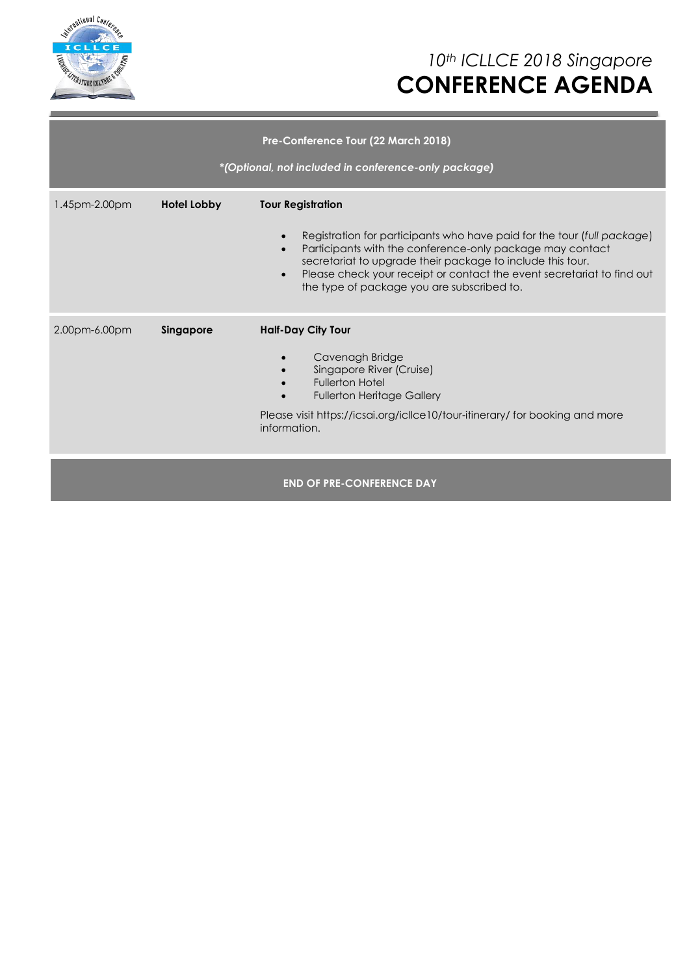

| Pre-Conference Tour (22 March 2018)<br>*(Optional, not included in conference-only package) |                    |                                                                                                                                                                                                                                                                                                                                                                                               |  |  |  |
|---------------------------------------------------------------------------------------------|--------------------|-----------------------------------------------------------------------------------------------------------------------------------------------------------------------------------------------------------------------------------------------------------------------------------------------------------------------------------------------------------------------------------------------|--|--|--|
| 1.45pm-2.00pm                                                                               | <b>Hotel Lobby</b> | <b>Tour Registration</b><br>Registration for participants who have paid for the tour (full package)<br>$\bullet$<br>Participants with the conference-only package may contact<br>$\bullet$<br>secretariat to upgrade their package to include this tour.<br>Please check your receipt or contact the event secretariat to find out<br>$\bullet$<br>the type of package you are subscribed to. |  |  |  |
| 2.00pm-6.00pm                                                                               | Singapore          | <b>Half-Day City Tour</b><br>Cavenagh Bridge<br>Singapore River (Cruise)<br><b>Fullerton Hotel</b><br><b>Fullerton Heritage Gallery</b><br>Please visit https://icsai.org/icllce10/tour-itinerary/ for booking and more<br>information.                                                                                                                                                       |  |  |  |
|                                                                                             |                    | <b>END OF PRE-CONFERENCE DAY</b>                                                                                                                                                                                                                                                                                                                                                              |  |  |  |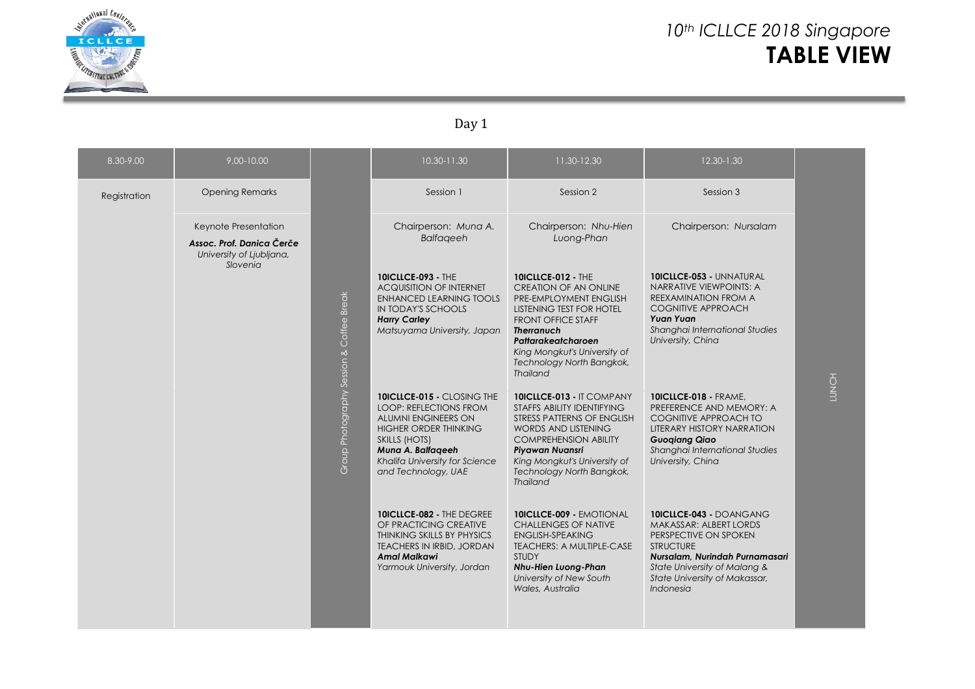

# *10th ICLLCE 2018 Singapore* **TABLE VIEW**

#### Day 1

| 8.30-9.00    | 9.00-10.00                                                                    |                             | 10.30-11.30                                                                                                                                                                                                              | 11.30-12.30                                                                                                                                                                                                                                                             | 12.30-1.30                                                                                                                                                                                                                          |       |
|--------------|-------------------------------------------------------------------------------|-----------------------------|--------------------------------------------------------------------------------------------------------------------------------------------------------------------------------------------------------------------------|-------------------------------------------------------------------------------------------------------------------------------------------------------------------------------------------------------------------------------------------------------------------------|-------------------------------------------------------------------------------------------------------------------------------------------------------------------------------------------------------------------------------------|-------|
| Registration | <b>Opening Remarks</b>                                                        |                             | Session 1                                                                                                                                                                                                                | Session 2                                                                                                                                                                                                                                                               | Session 3                                                                                                                                                                                                                           |       |
|              | Keynote Presentation<br>Assoc. Prof. Danica Čerče<br>University of Liubliana, |                             | Chairperson: Muna A.<br><b>Balfageeh</b>                                                                                                                                                                                 | Chairperson: Nhu-Hien<br>Luong-Phan                                                                                                                                                                                                                                     | Chairperson: Nursalam                                                                                                                                                                                                               |       |
|              | Slovenia                                                                      | Coffee Break                | <b>10ICLLCE-093 - THE</b><br><b>ACQUISITION OF INTERNET</b><br><b>ENHANCED LEARNING TOOLS</b><br>IN TODAY'S SCHOOLS<br><b>Harry Carley</b><br>Matsuyama University, Japan                                                | <b>10ICLLCE-012 - THE</b><br><b>CREATION OF AN ONLINE</b><br>PRE-EMPLOYMENT ENGLISH<br>LISTENING TEST FOR HOTEL<br><b>FRONT OFFICE STAFF</b><br><b>Therranuch</b><br>Pattarakeatcharoen<br>King Mongkut's University of<br>Technology North Bangkok,<br><b>Thailand</b> | <b>10ICLLCE-053 - UNNATURAL</b><br>NARRATIVE VIEWPOINTS: A<br>REEXAMINATION FROM A<br><b>COGNITIVE APPROACH</b><br><b>Yuan Yuan</b><br>Shanghai International Studies<br>University, China                                          |       |
|              |                                                                               | Group Photography Session & | <b>10ICLLCE-015 - CLOSING THE</b><br><b>LOOP: REFLECTIONS FROM</b><br>ALUMNI ENGINEERS ON<br><b>HIGHER ORDER THINKING</b><br>SKILLS (HOTS)<br>Muna A. Balfageeh<br>Khalifa University for Science<br>and Technology, UAE | 10ICLLCE-013 - IT COMPANY<br>STAFFS ABILITY IDENTIFYING<br>STRESS PATTERNS OF ENGLISH<br>WORDS AND LISTENING<br><b>COMPREHENSION ABILITY</b><br>Piyawan Nuansri<br>King Mongkut's University of<br>Technology North Bangkok,<br><b>Thailand</b>                         | <b>10ICLLCE-018 - FRAME.</b><br>PREFERENCE AND MEMORY: A<br><b>COGNITIVE APPROACH TO</b><br><b>LITERARY HISTORY NARRATION</b><br><b>Guogiang Qiao</b><br>Shanghai International Studies<br>University, China                        | LUNCH |
|              |                                                                               |                             | 10ICLLCE-082 - THE DEGREE<br>OF PRACTICING CREATIVE<br>THINKING SKILLS BY PHYSICS<br>TEACHERS IN IRBID, JORDAN<br><b>Amal Malkawi</b><br>Yarmouk University, Jordan                                                      | <b>10ICLLCE-009 - EMOTIONAL</b><br><b>CHALLENGES OF NATIVE</b><br><b>ENGLISH-SPEAKING</b><br>TEACHERS: A MULTIPLE-CASE<br><b>STUDY</b><br><b>Nhu-Hien Luong-Phan</b><br>University of New South<br>Wales, Australia                                                     | 10ICLLCE-043 - DOANGANG<br>MAKASSAR: ALBERT LORDS<br>PERSPECTIVE ON SPOKEN<br><b>STRUCTURE</b><br>Nursalam, Nurindah Purnamasari<br>State University of Malang &<br>State University of Makassar,<br><i><u><b>Indonesia</b></u></i> |       |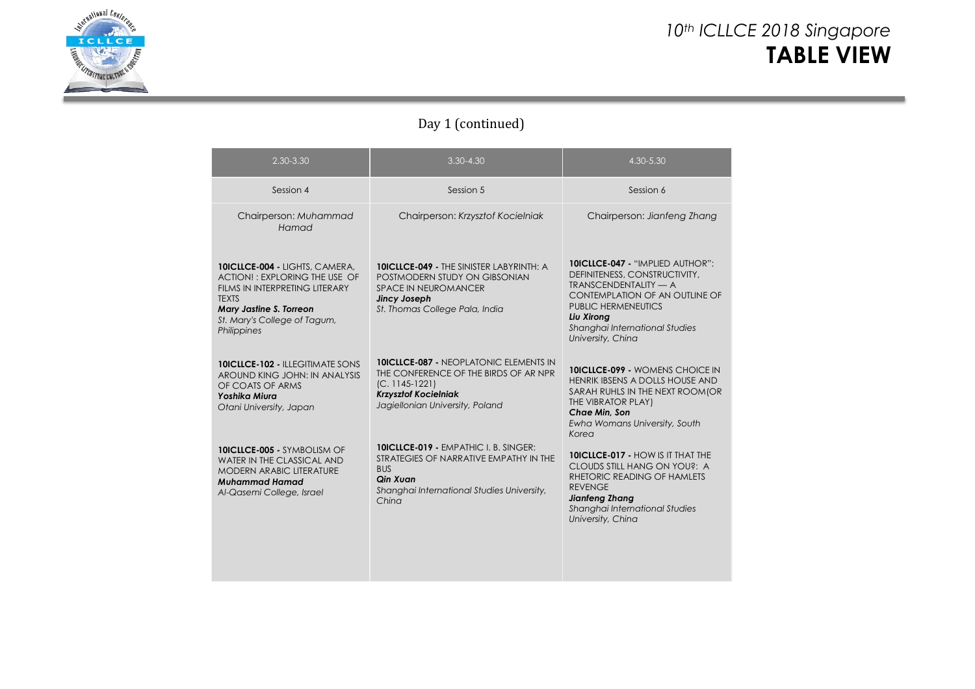

### *10th ICLLCE 2018 Singapore* **TABLE VIEW**

#### Day 1 (continued)

| 2.30-3.30                                                                                                                                                                                   | $3.30 - 4.30$                                                                                                                                                                | 4.30-5.30                                                                                                                                                                                                                                     |
|---------------------------------------------------------------------------------------------------------------------------------------------------------------------------------------------|------------------------------------------------------------------------------------------------------------------------------------------------------------------------------|-----------------------------------------------------------------------------------------------------------------------------------------------------------------------------------------------------------------------------------------------|
| Session 4                                                                                                                                                                                   | Session 5                                                                                                                                                                    | Session 6                                                                                                                                                                                                                                     |
| Chairperson: Muhammad<br>Hamad                                                                                                                                                              | Chairperson: Krzysztof Kocielniak                                                                                                                                            | Chairperson: Jianfeng Zhang                                                                                                                                                                                                                   |
| 10ICLLCE-004 - LIGHTS, CAMERA,<br>ACTION!: EXPLORING THE USE OF<br>FILMS IN INTERPRETING LITERARY<br><b>TEXTS</b><br>Mary Jastine S. Torreon<br>St. Mary's College of Tagum,<br>Philippines | <b>10ICLLCE-049 - THE SINISTER LABYRINTH: A</b><br>POSTMODERN STUDY ON GIBSONIAN<br><b>SPACE IN NEUROMANCER</b><br>Jincy Joseph<br>St. Thomas College Pala, India            | <b>10ICLLCE-047 - "IMPLIED AUTHOR":</b><br>DEFINITENESS, CONSTRUCTIVITY,<br><b>TRANSCENDENTALITY — A</b><br>CONTEMPLATION OF AN OUTLINE OF<br><b>PUBLIC HERMENEUTICS</b><br>Liu Xirong<br>Shanghai International Studies<br>University, China |
| <b>10ICLLCE-102 - ILLEGITIMATE SONS</b><br>AROUND KING JOHN: IN ANALYSIS<br>OF COATS OF ARMS<br>Yoshika Miura<br>Otani University, Japan                                                    | <b>10ICLLCE-087 - NEOPLATONIC ELEMENTS IN</b><br>THE CONFERENCE OF THE BIRDS OF AR NPR<br>$(C. 1145-1221)$<br><b>Krzysztof Kocielniak</b><br>Jagiellonian University, Poland | <b>10ICLLCE-099 - WOMENS CHOICE IN</b><br>HENRIK IBSENS A DOLLS HOUSE AND<br>SARAH RUHLS IN THE NEXT ROOM(OR<br>THE VIBRATOR PLAY)<br>Chae Min. Son<br>Ewha Womans University, South<br>Korea                                                 |
| <b>10ICLLCE-005 - SYMBOLISM OF</b><br>WATER IN THE CLASSICAL AND<br><b>MODERN ARABIC LITERATURE</b><br>Muhammad Hamad<br>Al-Qasemi College, Israel                                          | <b>10ICLLCE-019 - EMPATHIC I. B. SINGER:</b><br>STRATEGIES OF NARRATIVE EMPATHY IN THE<br><b>BUS</b><br>Qin Xuan<br>Shanghai International Studies University,<br>China      | <b>10ICLLCE-017 - HOW IS IT THAT THE</b><br>CLOUDS STILL HANG ON YOU?: A<br>RHETORIC READING OF HAMLETS<br><b>REVENGE</b><br>Jianfeng Zhang<br>Shanghai International Studies<br>University, China                                            |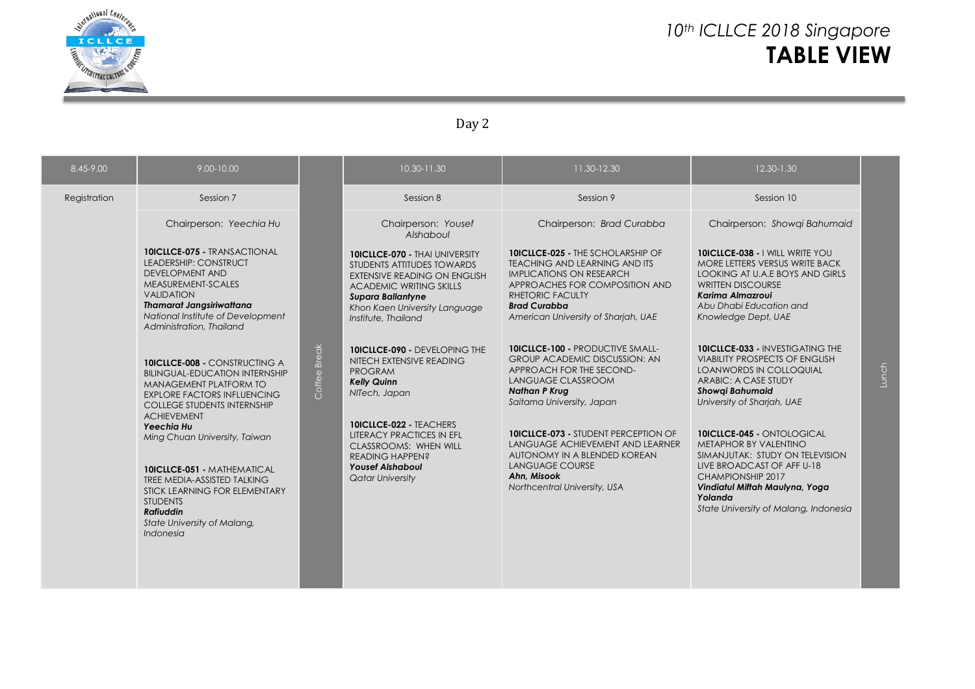

### *10th ICLLCE 2018 Singapore* **TABLE VIEW**

#### Day 2

| 8.45-9.00    | 9.00-10.00                                                                                                                                                                                                                            |              | 10.30-11.30                                                                                                                                                                                                                      | 11.30-12.30                                                                                                                                                                                                                                    | 12.30-1.30                                                                                                                                                                                                                             |                |
|--------------|---------------------------------------------------------------------------------------------------------------------------------------------------------------------------------------------------------------------------------------|--------------|----------------------------------------------------------------------------------------------------------------------------------------------------------------------------------------------------------------------------------|------------------------------------------------------------------------------------------------------------------------------------------------------------------------------------------------------------------------------------------------|----------------------------------------------------------------------------------------------------------------------------------------------------------------------------------------------------------------------------------------|----------------|
| Registration | Session 7                                                                                                                                                                                                                             |              | Session 8                                                                                                                                                                                                                        | Session 9                                                                                                                                                                                                                                      | Session 10                                                                                                                                                                                                                             |                |
|              | Chairperson: Yeechia Hu                                                                                                                                                                                                               |              | Chairperson: Yousef<br>Alshaboul                                                                                                                                                                                                 | Chairperson: Brad Curabba                                                                                                                                                                                                                      | Chairperson: Showqi Bahumaid                                                                                                                                                                                                           |                |
|              | <b>10ICLLCE-075 - TRANSACTIONAL</b><br>LEADERSHIP: CONSTRUCT<br><b>DEVELOPMENT AND</b><br>MEASUREMENT-SCALES<br><b>VALIDATION</b><br><b>Thamarat Jangsiriwattana</b><br>National Institute of Development<br>Administration, Thailand |              | <b>10ICLLCE-070 - THAI UNIVERSITY</b><br>STUDENTS ATTITUDES TOWARDS<br><b>EXTENSIVE READING ON ENGLISH</b><br><b>ACADEMIC WRITING SKILLS</b><br><b>Supara Ballantyne</b><br>Khon Kaen University Language<br>Institute, Thailand | <b>10ICLLCE-025 - THE SCHOLARSHIP OF</b><br><b>TEACHING AND LEARNING AND ITS</b><br><b>IMPLICATIONS ON RESEARCH</b><br>APPROACHES FOR COMPOSITION AND<br><b>RHETORIC FACULTY</b><br><b>Brad Curabba</b><br>American University of Sharjah, UAE | 10ICLLCE-038 - I WILL WRITE YOU<br>MORE LETTERS VERSUS WRITE BACK<br>LOOKING AT U.A.E BOYS AND GIRLS<br><b>WRITTEN DISCOURSE</b><br>Karima Almazrovi<br>Abu Dhabi Education and<br>Knowledge Dept, UAE                                 |                |
|              | <b>10ICLLCE-008 - CONSTRUCTING A</b><br><b>BILINGUAL-EDUCATION INTERNSHIP</b><br>MANAGEMENT PLATFORM TO<br><b>EXPLORE FACTORS INFLUENCING</b><br><b>COLLEGE STUDENTS INTERNSHIP</b><br><b>ACHIEVEMENT</b>                             | Coffee Break | <b>10ICLLCE-090 - DEVELOPING THE</b><br>NITECH EXTENSIVE READING<br><b>PROGRAM</b><br><b>Kelly Quinn</b><br>NITech, Japan                                                                                                        | <b>10ICLLCE-100 - PRODUCTIVE SMALL-</b><br><b>GROUP ACADEMIC DISCUSSION: AN</b><br>APPROACH FOR THE SECOND-<br>LANGUAGE CLASSROOM<br><b>Nathan P Krug</b><br>Saitama University, Japan                                                         | <b>10ICLLCE-033 - INVESTIGATING THE</b><br><b>VIABILITY PROSPECTS OF ENGLISH</b><br><b>LOANWORDS IN COLLOQUIAL</b><br>ARABIC: A CASE STUDY<br><b>Showgi Bahumaid</b><br>University of Sharjah, UAE                                     | $\overline{L}$ |
|              | Yeechia Hu<br>Ming Chuan University, Taiwan<br><b>10ICLLCE-051 - MATHEMATICAL</b><br>TREE MEDIA-ASSISTED TALKING<br>STICK LEARNING FOR ELEMENTARY<br><b>STUDENTS</b><br><b>Rafiuddin</b><br>State University of Malang,<br>Indonesia  |              | 10ICLLCE-022 - TEACHERS<br><b>LITERACY PRACTICES IN EFL</b><br><b>CLASSROOMS: WHEN WILL</b><br><b>READING HAPPEN?</b><br><b>Yousef Alshaboul</b><br><b>Qatar University</b>                                                      | <b>10ICLLCE-073 - STUDENT PERCEPTION OF</b><br>LANGUAGE ACHIEVEMENT AND LEARNER<br>AUTONOMY IN A BLENDED KOREAN<br><b>LANGUAGE COURSE</b><br>Ahn, Misook<br>Northcentral University, USA                                                       | <b>10ICLLCE-045 - ONTOLOGICAL</b><br>METAPHOR BY VALENTINO<br>SIMANJUTAK: STUDY ON TELEVISION<br>LIVE BROADCAST OF AFF U-18<br>CHAMPIONSHIP 2017<br>Vindiatul Miftah Maulyna, Yoga<br>Yolanda<br>State University of Malang, Indonesia |                |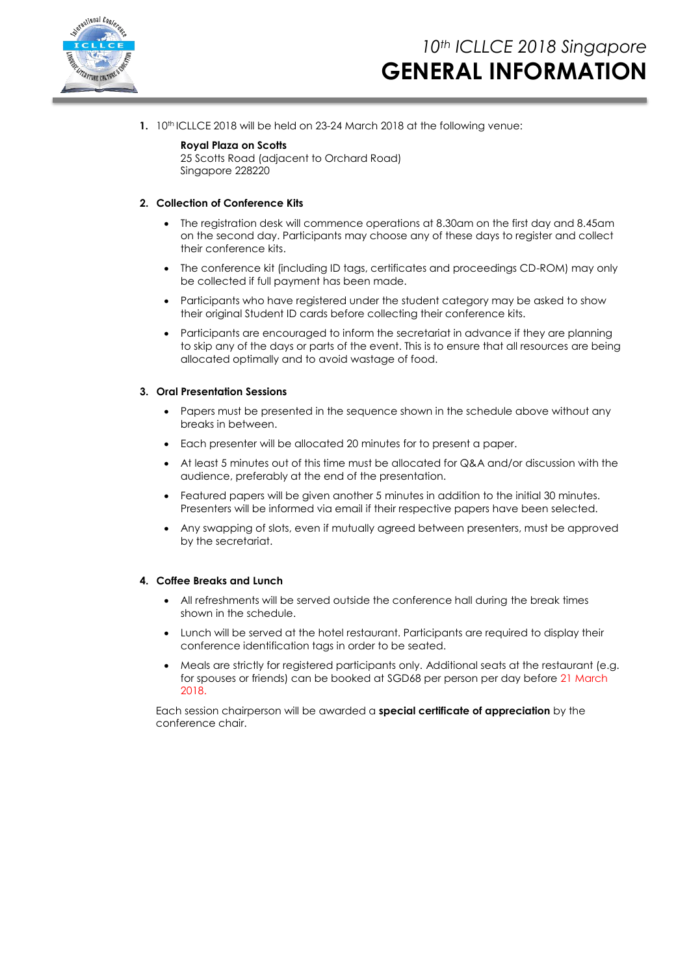

**1.** 10<sup>th</sup> ICLLCE 2018 will be held on 23-24 March 2018 at the following venue:

#### **Royal Plaza on Scotts**

25 Scotts Road (adjacent to Orchard Road) Singapore 228220

#### **2. Collection of Conference Kits**

- The registration desk will commence operations at 8.30am on the first day and 8.45am on the second day. Participants may choose any of these days to register and collect their conference kits.
- The conference kit (including ID tags, certificates and proceedings CD-ROM) may only be collected if full payment has been made.
- Participants who have registered under the student category may be asked to show their original Student ID cards before collecting their conference kits.
- Participants are encouraged to inform the secretariat in advance if they are planning to skip any of the days or parts of the event. This is to ensure that all resources are being allocated optimally and to avoid wastage of food.

#### **3. Oral Presentation Sessions**

- Papers must be presented in the sequence shown in the schedule above without any breaks in between.
- Each presenter will be allocated 20 minutes for to present a paper.
- At least 5 minutes out of this time must be allocated for Q&A and/or discussion with the audience, preferably at the end of the presentation.
- Featured papers will be given another 5 minutes in addition to the initial 30 minutes. Presenters will be informed via email if their respective papers have been selected.
- Any swapping of slots, even if mutually agreed between presenters, must be approved by the secretariat.

#### **4. Coffee Breaks and Lunch**

- All refreshments will be served outside the conference hall during the break times shown in the schedule.
- Lunch will be served at the hotel restaurant. Participants are required to display their conference identification tags in order to be seated.
- Meals are strictly for registered participants only. Additional seats at the restaurant (e.g. for spouses or friends) can be booked at SGD68 per person per day before 21 March 2018.

Each session chairperson will be awarded a **special certificate of appreciation** by the conference chair.